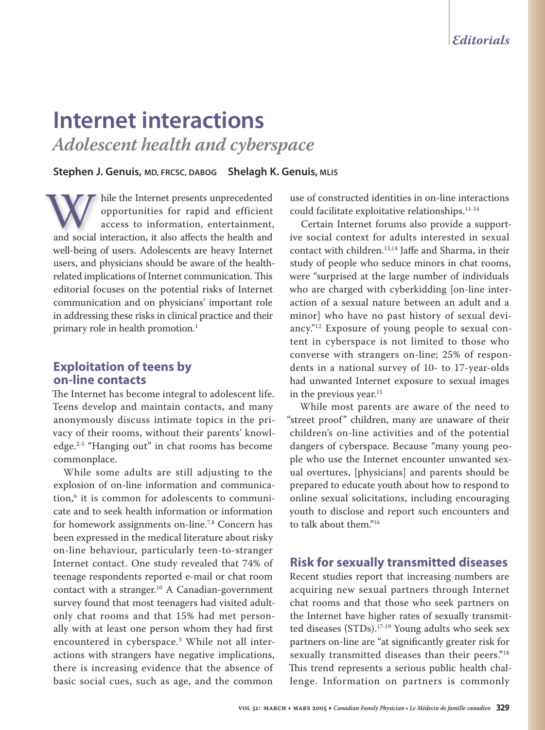# **Internet interactions** *Adolescent health and cyberspace*

#### **Stephen J. Genuis, MD, FRCSC, DABOG Shelagh K. Genuis, MLIS**

hile the Internet presents unprecedented hile the Internet presents unprecedented opportunities for rapid and efficient opportunities for rapid and efficient access to information, entertainment, while the Internet presents unprecedented<br>
opportunities for rapid and efficient<br>
access to information, entertainment,<br>
and social interaction, it also affects the health and well-being of users. Adolescents are heavy Internet users, and physicians should be aware of the healthrelated implications of Internet communication. This editorial focuses on the potential risks of Internet communication and on physicians' important role in addressing these risks in clinical practice and their primary role in health promotion.<sup>1</sup>

# **Exploitation of teens by on-line contacts**

The Internet has become integral to adolescent life. Teens develop and maintain contacts, and many anonymously discuss intimate topics in the privacy of their rooms, without their parents' knowledge.2-5 "Hanging out" in chat rooms has become commonplace.

While some adults are still adjusting to the explosion of on-line information and communication,6 it is common for adolescents to communicate and to seek health information or information for homework assignments on-line.7,8 Concern has been expressed in the medical literature about risky on-line behaviour, particularly teen-to-stranger Internet contact. One study revealed that 74% of teenage respondents reported e-mail or chat room contact with a stranger. $10$  A Canadian-government survey found that most teenagers had visited adultonly chat rooms and that 15% had met personally with at least one person whom they had first encountered in cyberspace.3 While not all interactions with strangers have negative implications, there is increasing evidence that the absence of basic social cues, such as age, and the common

use of constructed identities in on-line interactions could facilitate exploitative relationships.11-14

Certain Internet forums also provide a supportive social context for adults interested in sexual contact with children.<sup>13,14</sup> Jaffe and Sharma, in their study of people who seduce minors in chat rooms, were "surprised at the large number of individuals who are charged with cyberkidding [on-line interaction of a sexual nature between an adult and a minor] who have no past history of sexual deviancy."12 Exposure of young people to sexual content in cyberspace is not limited to those who converse with strangers on-line; 25% of respondents in a national survey of 10- to 17-year-olds had unwanted Internet exposure to sexual images in the previous year.<sup>15</sup>

While most parents are aware of the need to "street proof" children, many are unaware of their children's on-line activities and of the potential dangers of cyberspace. Because "many young people who use the Internet encounter unwanted sexual overtures, [physicians] and parents should be prepared to educate youth about how to respond to online sexual solicitations, including encouraging youth to disclose and report such encounters and to talk about them."16

# **Risk for sexually transmitted diseases**

Recent studies report that increasing numbers are acquiring new sexual partners through Internet chat rooms and that those who seek partners on the Internet have higher rates of sexually transmitted diseases (STDs).17-19 Young adults who seek sex partners on-line are "at significantly greater risk for sexually transmitted diseases than their peers."<sup>18</sup> This trend represents a serious public health challenge. Information on partners is commonly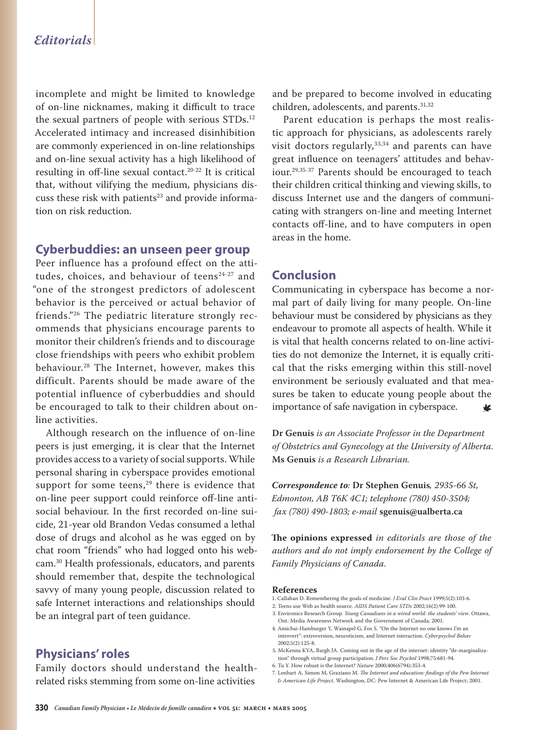# *Editorials*

incomplete and might be limited to knowledge of on-line nicknames, making it difficult to trace the sexual partners of people with serious STDs.12 Accelerated intimacy and increased disinhibition are commonly experienced in on-line relationships and on-line sexual activity has a high likelihood of resulting in off-line sexual contact.20-22 It is critical that, without vilifying the medium, physicians discuss these risk with patients<sup>23</sup> and provide information on risk reduction.

#### **Cyberbuddies: an unseen peer group**

Peer influence has a profound effect on the attitudes, choices, and behaviour of teens<sup>24-27</sup> and "one of the strongest predictors of adolescent behavior is the perceived or actual behavior of friends."26 The pediatric literature strongly recommends that physicians encourage parents to monitor their children's friends and to discourage close friendships with peers who exhibit problem behaviour.28 The Internet, however, makes this difficult. Parents should be made aware of the potential influence of cyberbuddies and should be encouraged to talk to their children about online activities.

Although research on the influence of on-line peers is just emerging, it is clear that the Internet provides access to a variety of social supports. While personal sharing in cyberspace provides emotional support for some teens,<sup>29</sup> there is evidence that on-line peer support could reinforce off-line antisocial behaviour. In the first recorded on-line suicide, 21-year old Brandon Vedas consumed a lethal dose of drugs and alcohol as he was egged on by chat room "friends" who had logged onto his webcam.30 Health professionals, educators, and parents should remember that, despite the technological savvy of many young people, discussion related to safe Internet interactions and relationships should be an integral part of teen guidance.

### **Physicians' roles**

Family doctors should understand the healthrelated risks stemming from some on-line activities

and be prepared to become involved in educating children, adolescents, and parents.<sup>31,32</sup>

Parent education is perhaps the most realistic approach for physicians, as adolescents rarely visit doctors regularly, $33,34$  and parents can have great influence on teenagers' attitudes and behaviour.29,35-37 Parents should be encouraged to teach their children critical thinking and viewing skills, to discuss Internet use and the dangers of communicating with strangers on-line and meeting Internet contacts off-line, and to have computers in open areas in the home.

#### **Conclusion**

Communicating in cyberspace has become a normal part of daily living for many people. On-line behaviour must be considered by physicians as they endeavour to promote all aspects of health. While it is vital that health concerns related to on-line activities do not demonize the Internet, it is equally critical that the risks emerging within this still-novel environment be seriously evaluated and that measures be taken to educate young people about the importance of safe navigation in cyberspace. ₩

**Dr Genuis** *is an Associate Professor in the Department of Obstetrics and Gynecology at the University of Alberta.*  **Ms Genuis** *is a Research Librarian.*

*Correspondence to:* **Dr Stephen Genuis***, 2935-66 St, Edmonton, AB T6K 4C1; telephone (780) 450-3504; fax (780) 490-1803; e-mail* **sgenuis@ualberta.ca**

**The opinions expressed** *in editorials are those of the authors and do not imply endorsement by the College of Family Physicians of Canada.*

#### **References**

- 1. Callahan D. Remembering the goals of medicine. *J Eval Clin Pract* 1999;5(2):103-6.
- 2. Teens use Web as health source. *AIDS Patient Care STDs* 2002;16(2):99-100.
- 3. Environics Research Group. *Young Canadians in a wired world: the students' view*. Ottawa, Ont: Media Awareness Network and the Government of Canada; 2001.
- 4. Amichai-Hamburger Y, Wainapel G, Fox S. "On the Internet no one knows I'm an introvert": extroversion, neuroticism, and Internet interaction. *Cyberpsychol Behav* 2002;5(2):125-8.
- 5. McKenna KYA, Bargh JA. Coming out in the age of the internet: identity "de-marginalization" through virtual group participation. *J Pers Soc Psychol* 1998;75:681-94.
- 6. Tu Y. How robust is the Internet? *Nature* 2000;406(6794):353-4.

<sup>7.</sup> Lenhart A, Simon M, Graziano M. *The Internet and education: findings of the Pew Internet & American Life Project*. Washington, DC: Pew Internet & American Life Project; 2001.